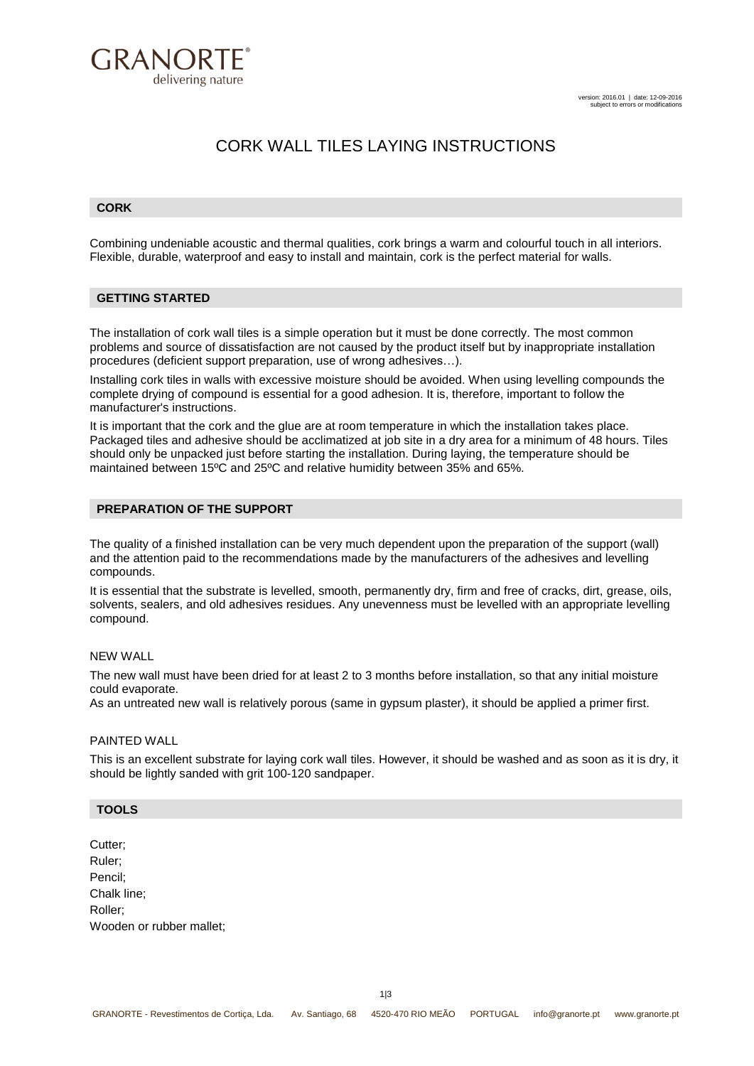

# CORK WALL TILES LAYING INSTRUCTIONS

#### **CORK**

Combining undeniable acoustic and thermal qualities, cork brings a warm and colourful touch in all interiors. Flexible, durable, waterproof and easy to install and maintain, cork is the perfect material for walls.

### **GETTING STARTED**

The installation of cork wall tiles is a simple operation but it must be done correctly. The most common problems and source of dissatisfaction are not caused by the product itself but by inappropriate installation procedures (deficient support preparation, use of wrong adhesives…).

Installing cork tiles in walls with excessive moisture should be avoided. When using levelling compounds the complete drying of compound is essential for a good adhesion. It is, therefore, important to follow the manufacturer's instructions.

It is important that the cork and the glue are at room temperature in which the installation takes place. Packaged tiles and adhesive should be acclimatized at job site in a dry area for a minimum of 48 hours. Tiles should only be unpacked just before starting the installation. During laying, the temperature should be maintained between 15ºC and 25ºC and relative humidity between 35% and 65%.

#### **PREPARATION OF THE SUPPORT**

The quality of a finished installation can be very much dependent upon the preparation of the support (wall) and the attention paid to the recommendations made by the manufacturers of the adhesives and levelling compounds.

It is essential that the substrate is levelled, smooth, permanently dry, firm and free of cracks, dirt, grease, oils, solvents, sealers, and old adhesives residues. Any unevenness must be levelled with an appropriate levelling compound.

#### NEW WALL

The new wall must have been dried for at least 2 to 3 months before installation, so that any initial moisture could evaporate.

As an untreated new wall is relatively porous (same in gypsum plaster), it should be applied a primer first.

#### PAINTED WALL

This is an excellent substrate for laying cork wall tiles. However, it should be washed and as soon as it is dry, it should be lightly sanded with grit 100-120 sandpaper.

#### **TOOLS**

Cutter; Ruler; Pencil; Chalk line; Roller; Wooden or rubber mallet;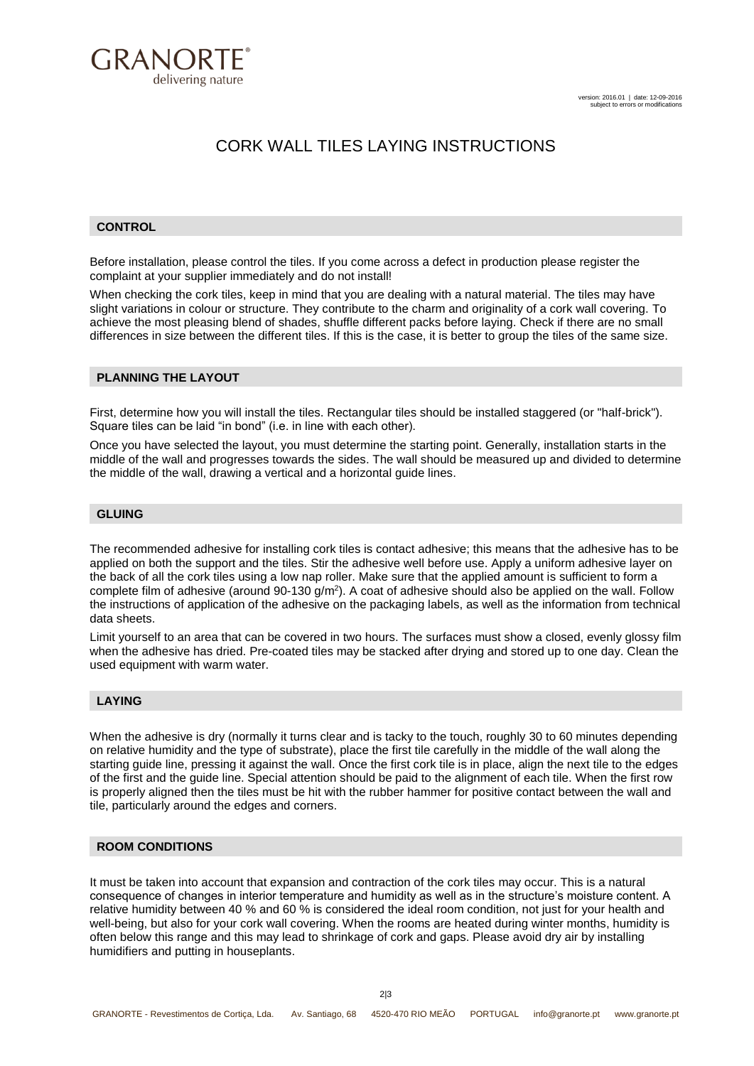

## CORK WALL TILES LAYING INSTRUCTIONS

#### **CONTROL**

Before installation, please control the tiles. If you come across a defect in production please register the complaint at your supplier immediately and do not install!

When checking the cork tiles, keep in mind that you are dealing with a natural material. The tiles may have slight variations in colour or structure. They contribute to the charm and originality of a cork wall covering. To achieve the most pleasing blend of shades, shuffle different packs before laying. Check if there are no small differences in size between the different tiles. If this is the case, it is better to group the tiles of the same size.

#### **PLANNING THE LAYOUT**

First, determine how you will install the tiles. Rectangular tiles should be installed staggered (or "half-brick"). Square tiles can be laid "in bond" (i.e. in line with each other).

Once you have selected the layout, you must determine the starting point. Generally, installation starts in the middle of the wall and progresses towards the sides. The wall should be measured up and divided to determine the middle of the wall, drawing a vertical and a horizontal guide lines.

#### **GLUING**

The recommended adhesive for installing cork tiles is contact adhesive; this means that the adhesive has to be applied on both the support and the tiles. Stir the adhesive well before use. Apply a uniform adhesive layer on the back of all the cork tiles using a low nap roller. Make sure that the applied amount is sufficient to form a complete film of adhesive (around 90-130  $g/m^2$ ). A coat of adhesive should also be applied on the wall. Follow the instructions of application of the adhesive on the packaging labels, as well as the information from technical data sheets.

Limit yourself to an area that can be covered in two hours. The surfaces must show a closed, evenly glossy film when the adhesive has dried. Pre-coated tiles may be stacked after drying and stored up to one day. Clean the used equipment with warm water.

#### **LAYING**

When the adhesive is dry (normally it turns clear and is tacky to the touch, roughly 30 to 60 minutes depending on relative humidity and the type of substrate), place the first tile carefully in the middle of the wall along the starting guide line, pressing it against the wall. Once the first cork tile is in place, align the next tile to the edges of the first and the guide line. Special attention should be paid to the alignment of each tile. When the first row is properly aligned then the tiles must be hit with the rubber hammer for positive contact between the wall and tile, particularly around the edges and corners.

### **ROOM CONDITIONS**

It must be taken into account that expansion and contraction of the cork tiles may occur. This is a natural consequence of changes in interior temperature and humidity as well as in the structure's moisture content. A relative humidity between 40 % and 60 % is considered the ideal room condition, not just for your health and well-being, but also for your cork wall covering. When the rooms are heated during winter months, humidity is often below this range and this may lead to shrinkage of cork and gaps. Please avoid dry air by installing humidifiers and putting in houseplants.